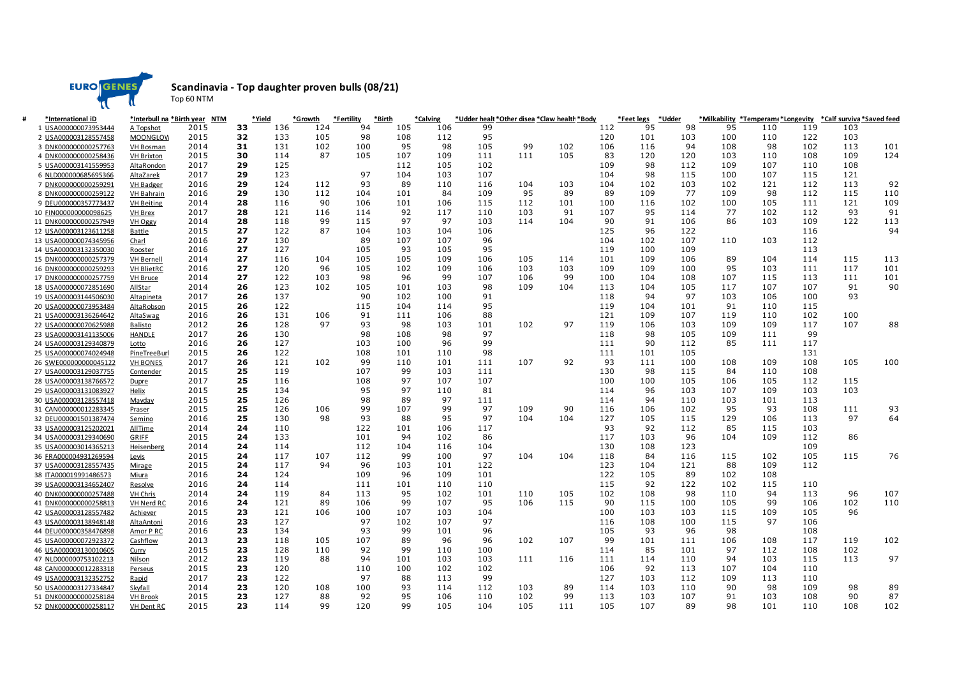

Top 60 NTM

## **Scandinavia - Top daughter proven bulls (08/21)**

| *International iD     |                   | *Interbull na *Birth year NTM |    | *Yield | *Growth | *Fertility | *Birth | *Calving |     |     | *Udder healt *Other disea *Claw health *Body |     | *Feet legs | *Udder |     | *Milkability *Temperam(*Longevity |     | *Calf surviva *Saved feed |     |
|-----------------------|-------------------|-------------------------------|----|--------|---------|------------|--------|----------|-----|-----|----------------------------------------------|-----|------------|--------|-----|-----------------------------------|-----|---------------------------|-----|
| 1 USA000000073953444  | A Topshot         | 2015                          | 33 | 136    | 124     | 94         | 105    | 106      | 99  |     |                                              | 112 | 95         | 98     | 95  | 110                               | 119 | 103                       |     |
| 2 USA000003128557458  | <b>MOONGLOW</b>   | 2015                          | 32 | 133    | 105     | 98         | 108    | 112      | 95  |     |                                              | 120 | 101        | 103    | 100 | 110                               | 122 | 103                       |     |
| 3 DNK000000000257763  | <b>VH Bosman</b>  | 2014                          | 31 | 131    | 102     | 100        | 95     | 98       | 105 | 99  | 102                                          | 106 | 116        | 94     | 108 | 98                                | 102 | 113                       | 101 |
| 4 DNK000000000258436  | <b>VH Brixton</b> | 2015                          | 30 | 114    | 87      | 105        | 107    | 109      | 111 | 111 | 105                                          | 83  | 120        | 120    | 103 | 110                               | 108 | 109                       | 124 |
| 5 USA000003141559953  | AltaRondon        | 2017                          | 29 | 125    |         |            | 112    | 105      | 102 |     |                                              | 109 | 98         | 112    | 109 | 107                               | 110 | 108                       |     |
| 6 NLD000000685695366  | AltaZarek         | 2017                          | 29 | 123    |         | 97         | 104    | 103      | 107 |     |                                              | 104 | 98         | 115    | 100 | 107                               | 115 | 121                       |     |
| 7 DNK000000000259291  | <b>VH Badger</b>  | 2016                          | 29 | 124    | 112     | 93         | 89     | 110      | 116 | 104 | 103                                          | 104 | 102        | 103    | 102 | 121                               | 112 | 113                       | 92  |
| 8 DNK000000000259122  | <b>VH Bahrain</b> | 2016                          | 29 | 130    | 112     | 104        | 101    | 84       | 109 | 95  | 89                                           | 89  | 109        | 77     | 109 | 98                                | 112 | 115                       | 110 |
| 9 DEU000000357773437  | <b>VH Beiting</b> | 2014                          | 28 | 116    | 90      | 106        | 101    | 106      | 115 | 112 | 101                                          | 100 | 116        | 102    | 100 | 105                               | 111 | 121                       | 109 |
| 10 FIN000000000098625 | <b>VH Brex</b>    | 2017                          | 28 | 121    | 116     | 114        | 92     | 117      | 110 | 103 | 91                                           | 107 | 95         | 114    | 77  | 102                               | 112 | 93                        | 91  |
| 11 DNK000000000257949 | <b>VH Oggy</b>    | 2014                          | 28 | 118    | 99      | 115        | 97     | 97       | 103 | 114 | 104                                          | 90  | 91         | 106    | 86  | 103                               | 109 | 122                       | 113 |
| 12 USA000003123611258 | <b>Battle</b>     | 2015                          | 27 | 122    | 87      | 104        | 103    | 104      | 106 |     |                                              | 125 | 96         | 122    |     |                                   | 116 |                           | 94  |
| 13 USA000000074345956 | Charl             | 2016                          | 27 | 130    |         | 89         | 107    | 107      | 96  |     |                                              | 104 | 102        | 107    | 110 | 103                               | 112 |                           |     |
| 14 USA000003132350030 | Rooster           | 2016                          | 27 | 127    |         | 105        | 93     | 105      | 95  |     |                                              | 119 | 100        | 109    |     |                                   | 113 |                           |     |
| 15 DNK000000000257379 | <b>VH Bernell</b> | 2014                          | 27 | 116    | 104     | 105        | 105    | 109      | 106 | 105 | 114                                          | 101 | 109        | 106    | 89  | 104                               | 114 | 115                       | 113 |
| 16 DNK000000000259293 | <b>VH BlietRC</b> | 2016                          | 27 | 120    | 96      | 105        | 102    | 109      | 106 | 103 | 103                                          | 109 | 109        | 100    | 95  | 103                               | 111 | 117                       | 101 |
| 17 DNK000000000257759 | <b>VH Bruce</b>   | 2014                          | 27 | 122    | 103     | 98         | 96     | 99       | 107 | 106 | 99                                           | 100 | 104        | 108    | 107 | 115                               | 113 | 111                       | 101 |
| 18 USA000000072851690 | <b>AllStar</b>    | 2014                          | 26 | 123    | 102     | 105        | 101    | 103      | 98  | 109 | 104                                          | 113 | 104        | 105    | 117 | 107                               | 107 | 91                        | 90  |
| 19 USA000003144506030 | <b>Altapineta</b> | 2017                          | 26 | 137    |         | 90         | 102    | 100      | 91  |     |                                              | 118 | 94         | 97     | 103 | 106                               | 100 | 93                        |     |
| 20 USA000000073953484 | AltaRobson        | 2015                          | 26 | 122    |         | 115        | 104    | 114      | 95  |     |                                              | 119 | 104        | 101    | 91  | 110                               | 115 |                           |     |
| 21 USA000003136264642 | AltaSwag          | 2016                          | 26 | 131    | 106     | 91         | 111    | 106      | 88  |     |                                              | 121 | 109        | 107    | 119 | 110                               | 102 | 100                       |     |
| 22 USA000000070625988 | <b>Balisto</b>    | 2012                          | 26 | 128    | 97      | 93         | 98     | 103      | 101 | 102 | 97                                           | 119 | 106        | 103    | 109 | 109                               | 117 | 107                       | 88  |
| 23 USA000003141135006 | <b>HANDLE</b>     | 2017                          | 26 | 130    |         | 98         | 108    | 98       | 97  |     |                                              | 118 | 98         | 105    | 109 | 111                               | 99  |                           |     |
| 24 USA000003129340879 | Lotto             | 2016                          | 26 | 127    |         | 103        | 100    | 96       | 99  |     |                                              | 111 | 90         | 112    | 85  | 111                               | 117 |                           |     |
| 25 USA000000074024948 | PineTreeBurl      | 2015                          | 26 | 122    |         | 108        | 101    | 110      | 98  |     |                                              | 111 | 101        | 105    |     |                                   | 131 |                           |     |
| 26 SWE000000000045122 | <b>VH BONES</b>   | 2017                          | 26 | 121    | 102     | 99         | 110    | 101      | 111 | 107 | 92                                           | 93  | 111        | 100    | 108 | 109                               | 108 | 105                       | 100 |
| 27 USA000003129037755 |                   | 2015                          | 25 | 119    |         | 107        | 99     | 103      | 111 |     |                                              | 130 | 98         | 115    | 84  | 110                               | 108 |                           |     |
|                       | Contender         | 2017                          | 25 | 116    |         | 108        | 97     | 107      | 107 |     |                                              | 100 | 100        | 105    | 106 | 105                               | 112 | 115                       |     |
| 28 USA000003138766572 | Dupre             |                               |    |        |         | 95         | 97     |          |     |     |                                              |     |            | 103    |     |                                   |     | 103                       |     |
| 29 USA000003131083927 | Helix             | 2015                          | 25 | 134    |         |            |        | 110      | 81  |     |                                              | 114 | 96         |        | 107 | 109                               | 103 |                           |     |
| 30 USA000003128557418 | Mayday            | 2015                          | 25 | 126    |         | 98         | 89     | 97       | 111 |     |                                              | 114 | 94         | 110    | 103 | 101                               | 113 |                           |     |
| 31 CAN000000012283345 | Praser            | 2015                          | 25 | 126    | 106     | 99         | 107    | 99       | 97  | 109 | 90                                           | 116 | 106        | 102    | 95  | 93                                | 108 | 111                       | 93  |
| 32 DEU000001501387474 | Semino            | 2016                          | 25 | 130    | 98      | 93         | 88     | 95       | 97  | 104 | 104                                          | 127 | 105        | 115    | 129 | 106                               | 113 | 97                        | 64  |
| 33 USA000003125202021 | <b>AllTime</b>    | 2014                          | 24 | 110    |         | 122        | 101    | 106      | 117 |     |                                              | 93  | 92         | 112    | 85  | 115                               | 103 |                           |     |
| 34 USA000003129340690 | GRIFF             | 2015                          | 24 | 133    |         | 101        | 94     | 102      | 86  |     |                                              | 117 | 103        | 96     | 104 | 109                               | 112 | 86                        |     |
| 35 USA000003014365213 | Heisenberg        | 2014                          | 24 | 114    |         | 112        | 104    | 116      | 104 |     |                                              | 130 | 108        | 123    |     |                                   | 109 |                           |     |
| 36 FRA000004931269594 | Levis             | 2015                          | 24 | 117    | 107     | 112        | 99     | 100      | 97  | 104 | 104                                          | 118 | 84         | 116    | 115 | 102                               | 105 | 115                       | 76  |
| 37 USA000003128557435 | Mirage            | 2015                          | 24 | 117    | 94      | 96         | 103    | 101      | 122 |     |                                              | 123 | 104        | 121    | 88  | 109                               | 112 |                           |     |
| 38 ITA000019991486573 | Miura             | 2016                          | 24 | 124    |         | 109        | 96     | 109      | 101 |     |                                              | 122 | 105        | 89     | 102 | 108                               |     |                           |     |
| 39 USA000003134652407 | Resolve           | 2016                          | 24 | 114    |         | 111        | 101    | 110      | 110 |     |                                              | 115 | 92         | 122    | 102 | 115                               | 110 |                           |     |
| 40 DNK000000000257488 | <b>VH Chris</b>   | 2014                          | 24 | 119    | 84      | 113        | 95     | 102      | 101 | 110 | 105                                          | 102 | 108        | 98     | 110 | 94                                | 113 | 96                        | 107 |
| 41 DNK000000000258813 | VH Nerd RC        | 2016                          | 24 | 121    | 89      | 106        | 99     | 107      | 95  | 106 | 115                                          | 90  | 115        | 100    | 105 | 99                                | 106 | 102                       | 110 |
| 42 USA000003128557482 | Achiever          | 2015                          | 23 | 121    | 106     | 100        | 107    | 103      | 104 |     |                                              | 100 | 103        | 103    | 115 | 109                               | 105 | 96                        |     |
| 43 USA000003138948148 | AltaAntoni        | 2016                          | 23 | 127    |         | 97         | 102    | 107      | 97  |     |                                              | 116 | 108        | 100    | 115 | 97                                | 106 |                           |     |
| 44 DEU000000358476898 | Amor P RC         | 2016                          | 23 | 134    |         | 93         | 99     | 101      | 96  |     |                                              | 105 | 93         | 96     | 98  |                                   | 108 |                           |     |
| 45 USA000000072923372 | Cashflow          | 2013                          | 23 | 118    | 105     | 107        | 89     | 96       | 96  | 102 | 107                                          | 99  | 101        | 111    | 106 | 108                               | 117 | 119                       | 102 |
| 46 USA000003130010605 | Curry             | 2015                          | 23 | 128    | 110     | 92         | 99     | 110      | 100 |     |                                              | 114 | 85         | 101    | 97  | 112                               | 108 | 102                       |     |
| 47 NLD000000753102213 | <b>Nilson</b>     | 2012                          | 23 | 119    | 88      | 94         | 101    | 103      | 103 | 111 | 116                                          | 111 | 114        | 110    | 94  | 103                               | 115 | 113                       | 97  |
| 48 CAN000000012283318 | Perseus           | 2015                          | 23 | 120    |         | 110        | 100    | 102      | 102 |     |                                              | 106 | 92         | 113    | 107 | 104                               | 110 |                           |     |
| 49 USA000003132352752 | Rapid             | 2017                          | 23 | 122    |         | 97         | 88     | 113      | 99  |     |                                              | 127 | 103        | 112    | 109 | 113                               | 110 |                           |     |
| 50 USA000003127334847 | Skyfall           | 2014                          | 23 | 120    | 108     | 100        | 93     | 114      | 112 | 103 | 89                                           | 114 | 103        | 110    | 90  | 98                                | 109 | 98                        | 89  |
| 51 DNK000000000258184 | <b>VH Brook</b>   | 2015                          | 23 | 127    | 88      | 92         | 95     | 106      | 110 | 102 | 99                                           | 113 | 103        | 107    | 91  | 103                               | 108 | 90                        | 87  |
| 52 DNK000000000258117 | <b>VH Dent RC</b> | 2015                          | 23 | 114    | 99      | 120        | 99     | 105      | 104 | 105 | 111                                          | 105 | 107        | 89     | 98  | 101                               | 110 | 108                       | 102 |
|                       |                   |                               |    |        |         |            |        |          |     |     |                                              |     |            |        |     |                                   |     |                           |     |